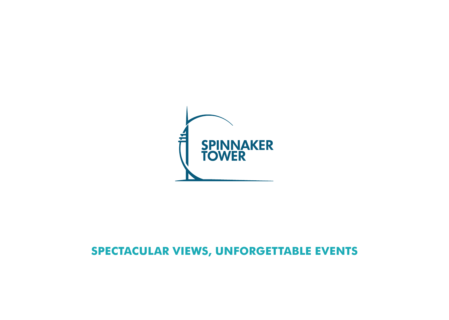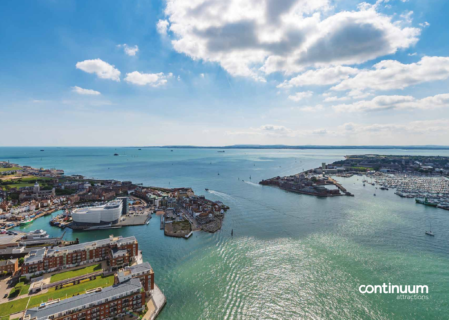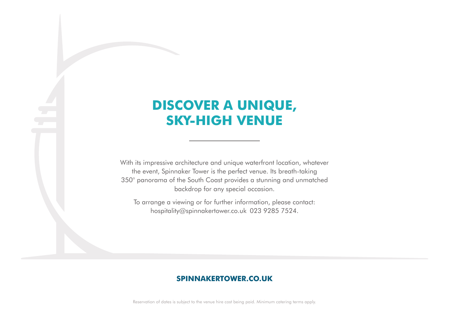# **DISCOVER A UNIQUE, SKY-HIGH VENUE**

With its impressive architecture and unique waterfront location, whatever the event, Spinnaker Tower is the perfect venue. Its breath-taking 350° panorama of the South Coast provides a stunning and unmatched backdrop for any special occasion.

To arrange a viewing or for further information, please contact: hospitality@spinnakertower.co.uk 023 9285 7524.

#### **SPINNAKERTOWER.CO.UK**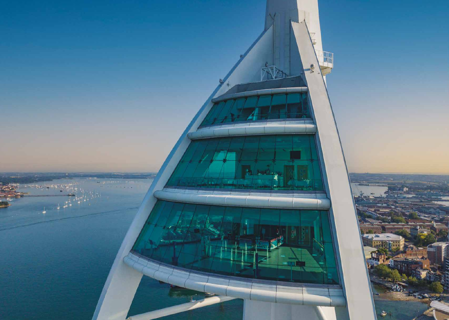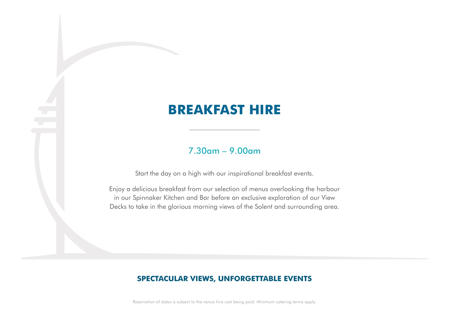## **BREAKFAST HIRE**

### 7.30am – 9.00am

Start the day on a high with our inspirational breakfast events.

Enjoy a delicious breakfast from our selection of menus overlooking the harbour in our Spinnaker Kitchen and Bar before an exclusive exploration of our View Decks to take in the glorious morning views of the Solent and surrounding area.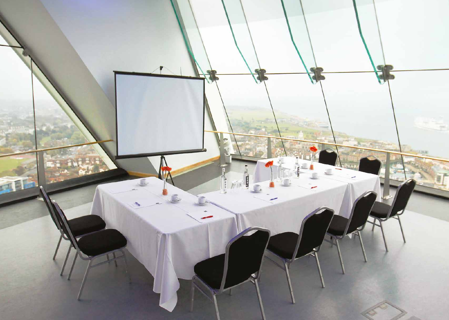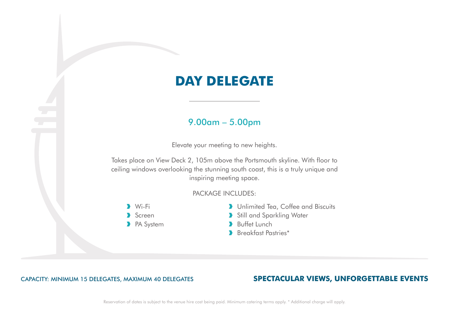# **DAY DELEGATE**

### 9.00am – 5.00pm

Elevate your meeting to new heights.

Takes place on View Deck 2, 105m above the Portsmouth skyline. With floor to ceiling windows overlooking the stunning south coast, this is a truly unique and inspiring meeting space.

#### PACKAGE INCLUDES:

- Wi-Fi
- Screen
- **PA** System
- **I** Unlimited Tea, Coffee and Biscuits
- Still and Sparkling Water
- Buffet Lunch
- **Breakfast Pastries\***

#### CAPACITY: MINIMUM 15 DELEGATES, MAXIMUM 40 DELEGATES **SPECTACULAR VIEWS, UNFORGETTABLE EVENTS**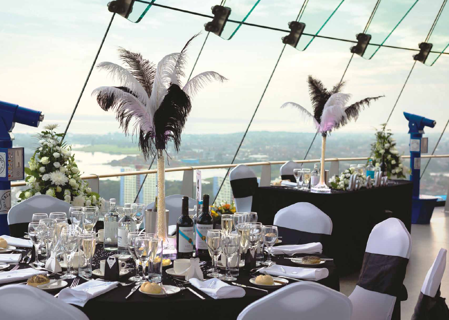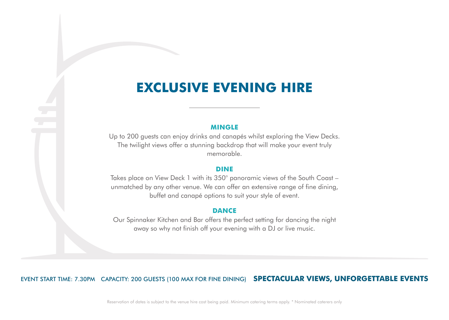# **EXCLUSIVE EVENING HIRE**

#### **MINGLE**

Up to 200 guests can enjoy drinks and canapés whilst exploring the View Decks. The twilight views offer a stunning backdrop that will make your event truly memorable.

#### **DINE**

Takes place on View Deck 1 with its 350° panoramic views of the South Coast – unmatched by any other venue. We can offer an extensive range of fine dining, buffet and canapé options to suit your style of event.

#### **DANCE**

Our Spinnaker Kitchen and Bar offers the perfect setting for dancing the night away so why not finish off your evening with a DJ or live music.

EVENT START TIME: 7.30PM CAPACITY: 200 GUESTS (100 MAX FOR FINE DINING) **SPECTACULAR VIEWS, UNFORGETTABLE EVENTS**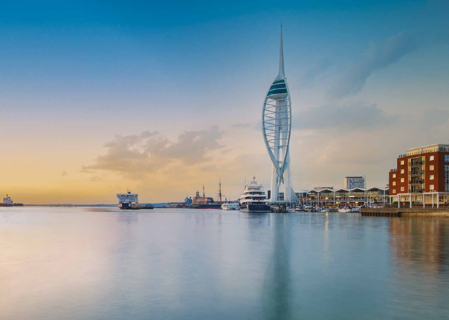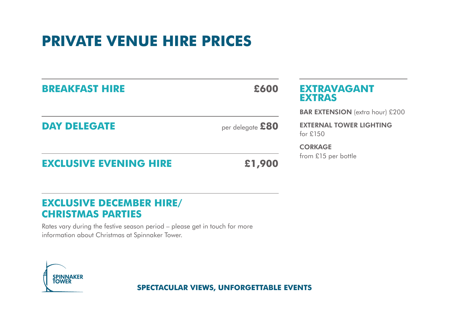# **PRIVATE VENUE HIRE PRICES**

| <b>BREAKFAST HIRE</b>         | £600                                       |
|-------------------------------|--------------------------------------------|
| <b>DAY DELEGATE</b>           | per delegate $\pmb{\pmb{\mathfrak{g}}}$ 80 |
| <b>EXCLUSIVE EVENING HIRE</b> | £1,900                                     |

### **EXTRAVAGANT EXTRAS**

BAR EXTENSION (extra hour) £200

EXTERNAL TOWER LIGHTING for £150

**CORKAGE** from £15 per bottle

### **EXCLUSIVE DECEMBER HIRE/ CHRISTMAS PARTIES**

Rates vary during the festive season period – please get in touch for more information about Christmas at Spinnaker Tower.

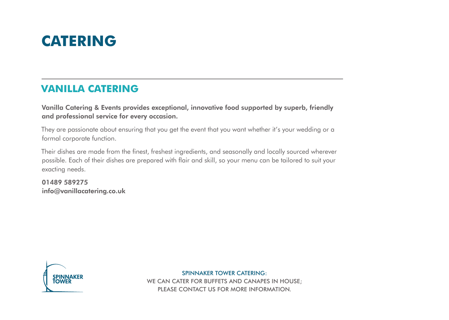

### **VANILLA CATERING**

Vanilla Catering & Events provides exceptional, innovative food supported by superb, friendly and professional service for every occasion.

They are passionate about ensuring that you get the event that you want whether it's your wedding or a formal corporate function.

Their dishes are made from the finest, freshest ingredients, and seasonally and locally sourced wherever possible. Each of their dishes are prepared with flair and skill, so your menu can be tailored to suit your exacting needs.

01489 589275 info@vanillacatering.co.uk



SPINNAKER TOWER CATERING: WE CAN CATER FOR BUFFETS AND CANAPES IN HOUSE; PLEASE CONTACT US FOR MORE INFORMATION.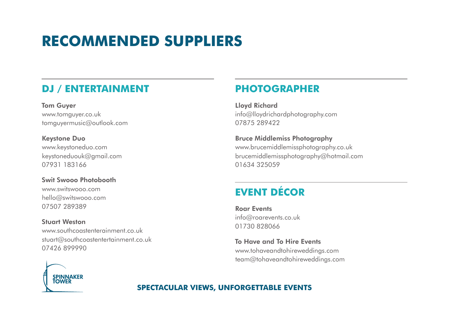# **RECOMMENDED SUPPLIERS**

### **DJ / ENTERTAINMENT**

Tom Guyer www.tomguyer.co.uk tomguyermusic@outlook.com

Keystone Duo www.keystoneduo.com keystoneduouk@gmail.com 07931 183166

Swit Swooo Photobooth www.switswooo.com hello@switswooo.com 07507 289389

### Stuart Weston

www.southcoastenterainment.co.uk stuart@southcoastentertainment.co.uk 07426 899990

### **PHOTOGRAPHER**

Lloyd Richard info@lloydrichardphotography.com 07875 289422

Bruce Middlemiss Photography www.brucemiddlemissphotography.co.uk brucemiddlemissphotography@hotmail.com 01634 325059

# **EVENT DÉCOR**

Roar Events info@roarevents.co.uk 01730 828066

To Have and To Hire Events www.tohaveandtohireweddings.com team@tohaveandtohireweddings.com

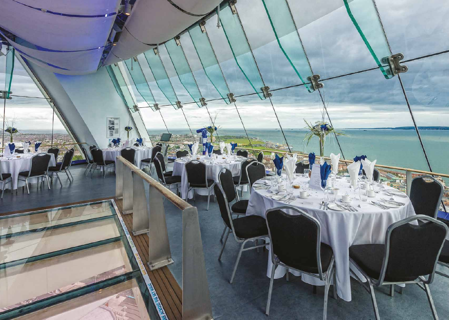